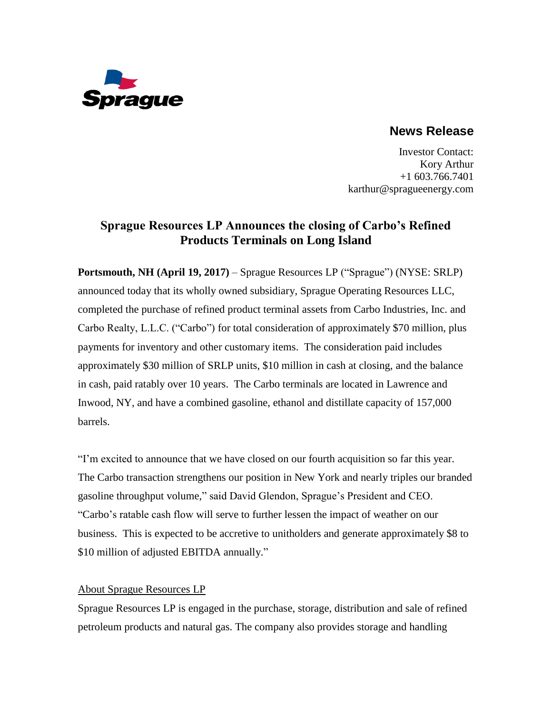

# **News Release**

Investor Contact: Kory Arthur +1 603.766.7401 karthur@spragueenergy.com

# **Sprague Resources LP Announces the closing of Carbo's Refined Products Terminals on Long Island**

**Portsmouth, NH (April 19, 2017)** – Sprague Resources LP ("Sprague") (NYSE: SRLP) announced today that its wholly owned subsidiary, Sprague Operating Resources LLC, completed the purchase of refined product terminal assets from Carbo Industries, Inc. and Carbo Realty, L.L.C. ("Carbo") for total consideration of approximately \$70 million, plus payments for inventory and other customary items. The consideration paid includes approximately \$30 million of SRLP units, \$10 million in cash at closing, and the balance in cash, paid ratably over 10 years. The Carbo terminals are located in Lawrence and Inwood, NY, and have a combined gasoline, ethanol and distillate capacity of 157,000 barrels.

"I'm excited to announce that we have closed on our fourth acquisition so far this year. The Carbo transaction strengthens our position in New York and nearly triples our branded gasoline throughput volume," said David Glendon, Sprague's President and CEO. "Carbo's ratable cash flow will serve to further lessen the impact of weather on our business. This is expected to be accretive to unitholders and generate approximately \$8 to \$10 million of adjusted EBITDA annually."

## About Sprague Resources LP

Sprague Resources LP is engaged in the purchase, storage, distribution and sale of refined petroleum products and natural gas. The company also provides storage and handling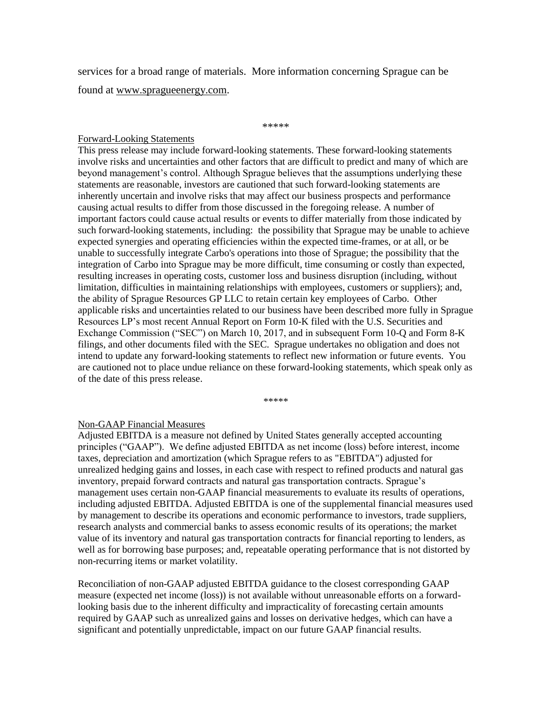services for a broad range of materials. More information concerning Sprague can be found at www.spragueenergy.com.

#### \*\*\*\*\*

### Forward-Looking Statements

This press release may include forward-looking statements. These forward-looking statements involve risks and uncertainties and other factors that are difficult to predict and many of which are beyond management's control. Although Sprague believes that the assumptions underlying these statements are reasonable, investors are cautioned that such forward-looking statements are inherently uncertain and involve risks that may affect our business prospects and performance causing actual results to differ from those discussed in the foregoing release. A number of important factors could cause actual results or events to differ materially from those indicated by such forward-looking statements, including: the possibility that Sprague may be unable to achieve expected synergies and operating efficiencies within the expected time-frames, or at all, or be unable to successfully integrate Carbo's operations into those of Sprague; the possibility that the integration of Carbo into Sprague may be more difficult, time consuming or costly than expected, resulting increases in operating costs, customer loss and business disruption (including, without limitation, difficulties in maintaining relationships with employees, customers or suppliers); and, the ability of Sprague Resources GP LLC to retain certain key employees of Carbo. Other applicable risks and uncertainties related to our business have been described more fully in Sprague Resources LP's most recent Annual Report on Form 10-K filed with the U.S. Securities and Exchange Commission ("SEC") on March 10, 2017, and in subsequent Form 10-Q and Form 8-K filings, and other documents filed with the SEC. Sprague undertakes no obligation and does not intend to update any forward-looking statements to reflect new information or future events. You are cautioned not to place undue reliance on these forward-looking statements, which speak only as of the date of this press release.

\*\*\*\*\*

## Non-GAAP Financial Measures

Adjusted EBITDA is a measure not defined by United States generally accepted accounting principles ("GAAP"). We define adjusted EBITDA as net income (loss) before interest, income taxes, depreciation and amortization (which Sprague refers to as "EBITDA") adjusted for unrealized hedging gains and losses, in each case with respect to refined products and natural gas inventory, prepaid forward contracts and natural gas transportation contracts. Sprague's management uses certain non-GAAP financial measurements to evaluate its results of operations, including adjusted EBITDA. Adjusted EBITDA is one of the supplemental financial measures used by management to describe its operations and economic performance to investors, trade suppliers, research analysts and commercial banks to assess economic results of its operations; the market value of its inventory and natural gas transportation contracts for financial reporting to lenders, as well as for borrowing base purposes; and, repeatable operating performance that is not distorted by non-recurring items or market volatility.

Reconciliation of non-GAAP adjusted EBITDA guidance to the closest corresponding GAAP measure (expected net income (loss)) is not available without unreasonable efforts on a forwardlooking basis due to the inherent difficulty and impracticality of forecasting certain amounts required by GAAP such as unrealized gains and losses on derivative hedges, which can have a significant and potentially unpredictable, impact on our future GAAP financial results.